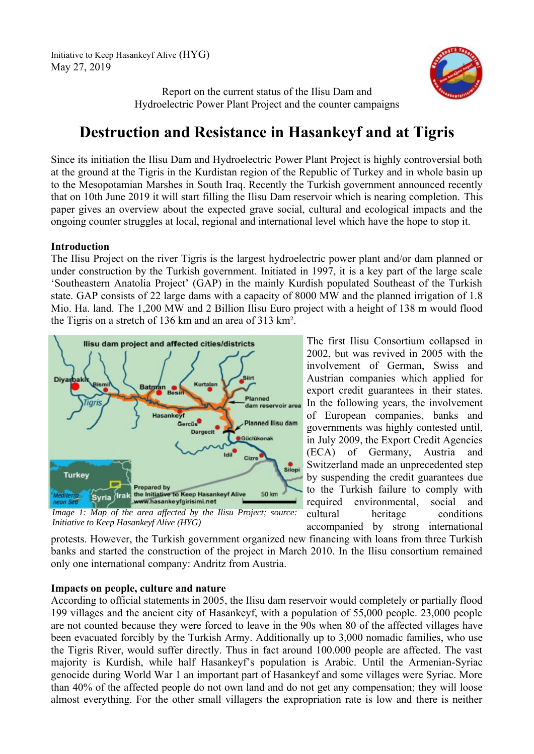

Report on the current status of the Ilisu Dam and Hydroelectric Power Plant Project and the counter campaigns

# **Destruction and Resistance in Hasankeyf and at Tigris**

Since its initiation the Ilisu Dam and Hydroelectric Power Plant Project is highly controversial both at the ground at the Tigris in the Kurdistan region of the Republic of Turkey and in whole basin up to the Mesopotamian Marshes in South Iraq. Recently the Turkish government announced recently that on 10th June 2019 it will start filling the Ilisu Dam reservoir which is nearing completion. This paper gives an overview about the expected grave social, cultural and ecological impacts and the ongoing counter struggles at local, regional and international level which have the hope to stop it.

# **Introduction**

The Ilisu Project on the river Tigris is the largest hydroelectric power plant and/or dam planned or under construction by the Turkish government. Initiated in 1997, it is a key part of the large scale 'Southeastern Anatolia Project' (GAP) in the mainly Kurdish populated Southeast of the Turkish state. GAP consists of 22 large dams with a capacity of 8000 MW and the planned irrigation of 1.8 Mio. Ha. land. The 1,200 MW and 2 Billion Ilisu Euro project with a height of 138 m would flood the Tigris on a stretch of 136 km and an area of 313 km².



*Initiative to Keep Hasankeyf Alive (HYG)*

The first Ilisu Consortium collapsed in 2002, but was revived in 2005 with the involvement of German, Swiss and Austrian companies which applied for export credit guarantees in their states. In the following years, the involvement of European companies, banks and governments was highly contested until, in July 2009, the Export Credit Agencies (ECA) of Germany, Austria and Switzerland made an unprecedented step by suspending the credit guarantees due to the Turkish failure to comply with required environmental, social and cultural heritage conditions accompanied by strong international

protests. However, the Turkish government organized new financing with loans from three Turkish banks and started the construction of the project in March 2010. In the Ilisu consortium remained only one international company: Andritz from Austria.

# **Impacts on people, culture and nature**

According to official statements in 2005, the Ilisu dam reservoir would completely or partially flood 199 villages and the ancient city of Hasankeyf, with a population of 55,000 people. 23,000 people are not counted because they were forced to leave in the 90s when 80 of the affected villages have been evacuated forcibly by the Turkish Army. Additionally up to 3,000 nomadic families, who use the Tigris River, would suffer directly. Thus in fact around 100.000 people are affected. The vast majority is Kurdish, while half Hasankeyf's population is Arabic. Until the Armenian-Syriac genocide during World War 1 an important part of Hasankeyf and some villages were Syriac. More than 40% of the affected people do not own land and do not get any compensation; they will loose almost everything. For the other small villagers the expropriation rate is low and there is neither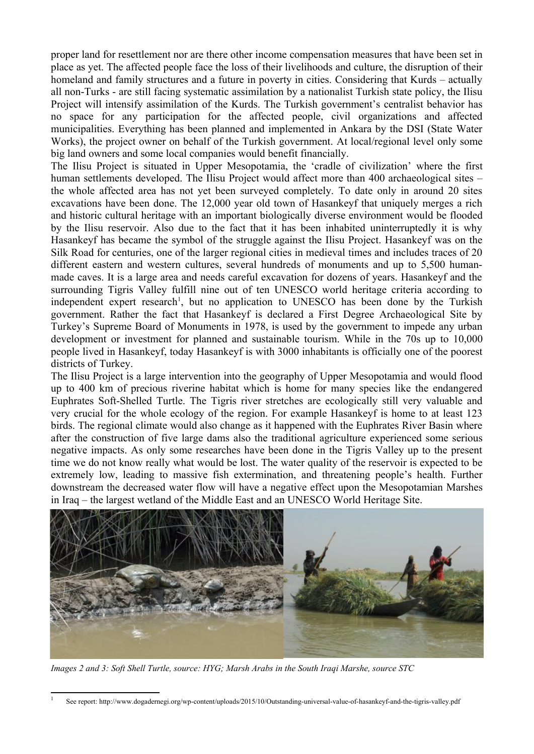proper land for resettlement nor are there other income compensation measures that have been set in place as yet. The affected people face the loss of their livelihoods and culture, the disruption of their homeland and family structures and a future in poverty in cities. Considering that Kurds – actually all non-Turks - are still facing systematic assimilation by a nationalist Turkish state policy, the Ilisu Project will intensify assimilation of the Kurds. The Turkish government's centralist behavior has no space for any participation for the affected people, civil organizations and affected municipalities. Everything has been planned and implemented in Ankara by the DSI (State Water Works), the project owner on behalf of the Turkish government. At local/regional level only some big land owners and some local companies would benefit financially.

The Ilisu Project is situated in Upper Mesopotamia, the 'cradle of civilization' where the first human settlements developed. The Ilisu Project would affect more than 400 archaeological sites – the whole affected area has not yet been surveyed completely. To date only in around 20 sites excavations have been done. The 12,000 year old town of Hasankeyf that uniquely merges a rich and historic cultural heritage with an important biologically diverse environment would be flooded by the Ilisu reservoir. Also due to the fact that it has been inhabited uninterruptedly it is why Hasankeyf has became the symbol of the struggle against the Ilisu Project. Hasankeyf was on the Silk Road for centuries, one of the larger regional cities in medieval times and includes traces of 20 different eastern and western cultures, several hundreds of monuments and up to 5,500 humanmade caves. It is a large area and needs careful excavation for dozens of years. Hasankeyf and the surrounding Tigris Valley fulfill nine out of ten UNESCO world heritage criteria according to independent expert research<sup>[1](#page-1-0)</sup>, but no application to UNESCO has been done by the Turkish government. Rather the fact that Hasankeyf is declared a First Degree Archaeological Site by Turkey's Supreme Board of Monuments in 1978, is used by the government to impede any urban development or investment for planned and sustainable tourism. While in the 70s up to 10,000 people lived in Hasankeyf, today Hasankeyf is with 3000 inhabitants is officially one of the poorest districts of Turkey.

The Ilisu Project is a large intervention into the geography of Upper Mesopotamia and would flood up to 400 km of precious riverine habitat which is home for many species like the endangered Euphrates Soft-Shelled Turtle. The Tigris river stretches are ecologically still very valuable and very crucial for the whole ecology of the region. For example Hasankeyf is home to at least 123 birds. The regional climate would also change as it happened with the Euphrates River Basin where after the construction of five large dams also the traditional agriculture experienced some serious negative impacts. As only some researches have been done in the Tigris Valley up to the present time we do not know really what would be lost. The water quality of the reservoir is expected to be extremely low, leading to massive fish extermination, and threatening people's health. Further downstream the decreased water flow will have a negative effect upon the Mesopotamian Marshes in Iraq – the largest wetland of the Middle East and an UNESCO World Heritage Site.



*Images 2 and 3: Soft Shell Turtle, source: HYG; Marsh Arabs in the South Iraqi Marshe, source STC*

<span id="page-1-0"></span><sup>1</sup> See report: http://www.dogadernegi.org/wp-content/uploads/2015/10/Outstanding-universal-value-of-hasankeyf-and-the-tigris-valley.pdf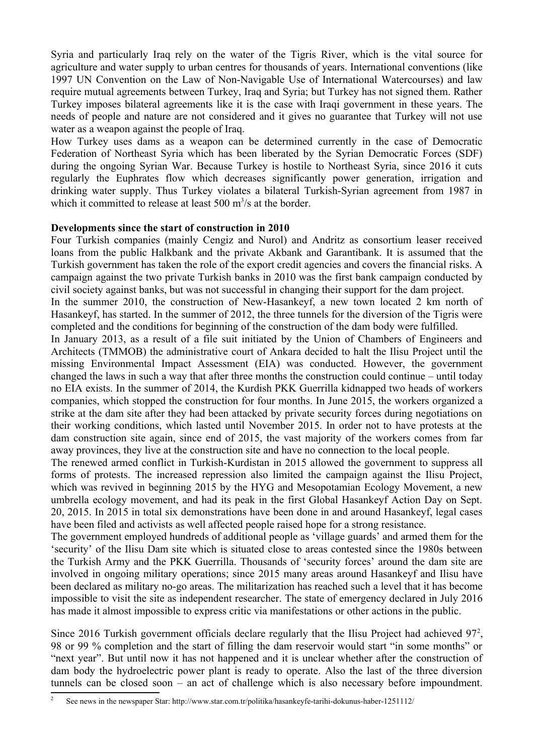Syria and particularly Iraq rely on the water of the Tigris River, which is the vital source for agriculture and water supply to urban centres for thousands of years. International conventions (like 1997 UN Convention on the Law of Non-Navigable Use of International Watercourses) and law require mutual agreements between Turkey, Iraq and Syria; but Turkey has not signed them. Rather Turkey imposes bilateral agreements like it is the case with Iraqi government in these years. The needs of people and nature are not considered and it gives no guarantee that Turkey will not use water as a weapon against the people of Iraq.

How Turkey uses dams as a weapon can be determined currently in the case of Democratic Federation of Northeast Syria which has been liberated by the Syrian Democratic Forces (SDF) during the ongoing Syrian War. Because Turkey is hostile to Northeast Syria, since 2016 it cuts regularly the Euphrates flow which decreases significantly power generation, irrigation and drinking water supply. Thus Turkey violates a bilateral Turkish-Syrian agreement from 1987 in which it committed to release at least  $500 \text{ m}^3/\text{s}$  at the border.

#### **Developments since the start of construction in 2010**

Four Turkish companies (mainly Cengiz and Nurol) and Andritz as consortium leaser received loans from the public Halkbank and the private Akbank and Garantibank. It is assumed that the Turkish government has taken the role of the export credit agencies and covers the financial risks. A campaign against the two private Turkish banks in 2010 was the first bank campaign conducted by civil society against banks, but was not successful in changing their support for the dam project.

In the summer 2010, the construction of New-Hasankeyf, a new town located 2 km north of Hasankeyf, has started. In the summer of 2012, the three tunnels for the diversion of the Tigris were completed and the conditions for beginning of the construction of the dam body were fulfilled.

In January 2013, as a result of a file suit initiated by the Union of Chambers of Engineers and Architects (TMMOB) the administrative court of Ankara decided to halt the Ilisu Project until the missing Environmental Impact Assessment (EIA) was conducted. However, the government changed the laws in such a way that after three months the construction could continue – until today no EIA exists. In the summer of 2014, the Kurdish PKK Guerrilla kidnapped two heads of workers companies, which stopped the construction for four months. In June 2015, the workers organized a strike at the dam site after they had been attacked by private security forces during negotiations on their working conditions, which lasted until November 2015. In order not to have protests at the dam construction site again, since end of 2015, the vast majority of the workers comes from far away provinces, they live at the construction site and have no connection to the local people.

The renewed armed conflict in Turkish-Kurdistan in 2015 allowed the government to suppress all forms of protests. The increased repression also limited the campaign against the Ilisu Project, which was revived in beginning 2015 by the HYG and Mesopotamian Ecology Movement, a new umbrella ecology movement, and had its peak in the first Global Hasankeyf Action Day on Sept. 20, 2015. In 2015 in total six demonstrations have been done in and around Hasankeyf, legal cases have been filed and activists as well affected people raised hope for a strong resistance.

The government employed hundreds of additional people as 'village guards' and armed them for the 'security' of the Ilisu Dam site which is situated close to areas contested since the 1980s between the Turkish Army and the PKK Guerrilla. Thousands of 'security forces' around the dam site are involved in ongoing military operations; since 2015 many areas around Hasankeyf and Ilisu have been declared as military no-go areas. The militarization has reached such a level that it has become impossible to visit the site as independent researcher. The state of emergency declared in July 2016 has made it almost impossible to express critic via manifestations or other actions in the public.

Since [2](#page-2-0)016 Turkish government officials declare regularly that the Ilisu Project had achieved  $97<sup>2</sup>$ , 98 or 99 % completion and the start of filling the dam reservoir would start "in some months" or "next year". But until now it has not happened and it is unclear whether after the construction of dam body the hydroelectric power plant is ready to operate. Also the last of the three diversion tunnels can be closed soon – an act of challenge which is also necessary before impoundment.

<span id="page-2-0"></span><sup>2</sup> See news in the newspaper Star: http://www.star.com.tr/politika/hasankeyfe-tarihi-dokunus-haber-1251112/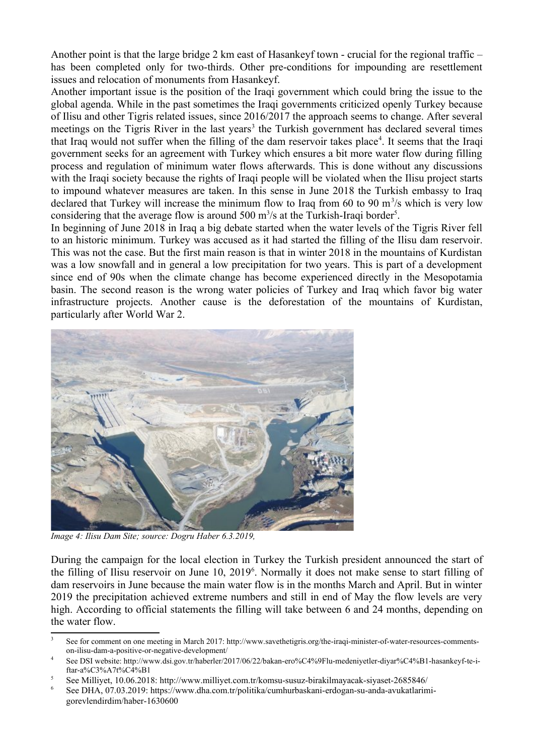Another point is that the large bridge 2 km east of Hasankeyf town - crucial for the regional traffic – has been completed only for two-thirds. Other pre-conditions for impounding are resettlement issues and relocation of monuments from Hasankeyf.

Another important issue is the position of the Iraqi government which could bring the issue to the global agenda. While in the past sometimes the Iraqi governments criticized openly Turkey because of Ilisu and other Tigris related issues, since 2016/2017 the approach seems to change. After several meetings on the Tigris River in the last years<sup>[3](#page-3-0)</sup> the Turkish government has declared several times that Iraq would not suffer when the filling of the dam reservoir takes place<sup>[4](#page-3-1)</sup>. It seems that the Iraqi government seeks for an agreement with Turkey which ensures a bit more water flow during filling process and regulation of minimum water flows afterwards. This is done without any discussions with the Iraqi society because the rights of Iraqi people will be violated when the Ilisu project starts to impound whatever measures are taken. In this sense in June 2018 the Turkish embassy to Iraq declared that Turkey will increase the minimum flow to Iraq from 60 to 90  $\mathrm{m}^3/\mathrm{s}$  which is very low considering that the average flow is around [5](#page-3-2)00  $\mathrm{m}^3$ /s at the Turkish-Iraqi border<sup>5</sup>.

In beginning of June 2018 in Iraq a big debate started when the water levels of the Tigris River fell to an historic minimum. Turkey was accused as it had started the filling of the Ilisu dam reservoir. This was not the case. But the first main reason is that in winter 2018 in the mountains of Kurdistan was a low snowfall and in general a low precipitation for two years. This is part of a development since end of 90s when the climate change has become experienced directly in the Mesopotamia basin. The second reason is the wrong water policies of Turkey and Iraq which favor big water infrastructure projects. Another cause is the deforestation of the mountains of Kurdistan, particularly after World War 2.



*Image 4: Ilisu Dam Site; source: Dogru Haber 6.3.2019,*

During the campaign for the local election in Turkey the Turkish president announced the start of the filling of Ilisu reservoir on June 10, 2019<sup>[6](#page-3-3)</sup>. Normally it does not make sense to start filling of dam reservoirs in June because the main water flow is in the months March and April. But in winter 2019 the precipitation achieved extreme numbers and still in end of May the flow levels are very high. According to official statements the filling will take between 6 and 24 months, depending on the water flow.

<span id="page-3-0"></span><sup>3</sup> See for comment on one meeting in March 2017: http://www.savethetigris.org/the-iraqi-minister-of-water-resources-commentson-ilisu-dam-a-positive-or-negative-development/

<span id="page-3-1"></span><sup>4</sup> See DSI website: http://www.dsi.gov.tr/haberler/2017/06/22/bakan-ero%C4%9Flu-medeniyetler-diyar%C4%B1-hasankeyf-te-iftar-a%C3%A7t%C4%B1

<span id="page-3-2"></span><sup>5</sup> See Milliyet, 10.06.2018: http://www.milliyet.com.tr/komsu-susuz-birakilmayacak-siyaset-2685846/

<span id="page-3-3"></span><sup>6</sup> See DHA, 07.03.2019: https://www.dha.com.tr/politika/cumhurbaskani-erdogan-su-anda-avukatlarimigorevlendirdim/haber-1630600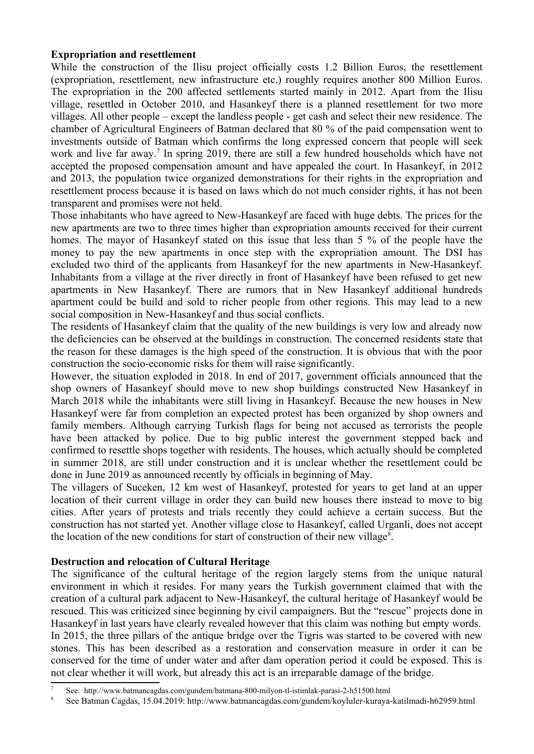## **Expropriation and resettlement**

While the construction of the Ilisu project officially costs 1.2 Billion Euros, the resettlement (expropriation, resettlement, new infrastructure etc.) roughly requires another 800 Million Euros. The expropriation in the 200 affected settlements started mainly in 2012. Apart from the Ilisu village, resettled in October 2010, and Hasankeyf there is a planned resettlement for two more villages. All other people – except the landless people - get cash and select their new residence. The chamber of Agricultural Engineers of Batman declared that 80 % of the paid compensation went to investments outside of Batman which confirms the long expressed concern that people will seek work and live far away.<sup>[7](#page-4-0)</sup> In spring 2019, there are still a few hundred households which have not accepted the proposed compensation amount and have appealed the court. In Hasankeyf, in 2012 and 2013, the population twice organized demonstrations for their rights in the expropriation and resettlement process because it is based on laws which do not much consider rights, it has not been transparent and promises were not held.

Those inhabitants who have agreed to New-Hasankeyf are faced with huge debts. The prices for the new apartments are two to three times higher than expropriation amounts received for their current homes. The mayor of Hasankeyf stated on this issue that less than 5 % of the people have the money to pay the new apartments in once step with the expropriation amount. The DSI has excluded two third of the applicants from Hasankeyf for the new apartments in New-Hasankeyf. Inhabitants from a village at the river directly in front of Hasankeyf have been refused to get new apartments in New Hasankeyf. There are rumors that in New Hasankeyf additional hundreds apartment could be build and sold to richer people from other regions. This may lead to a new social composition in New-Hasankeyf and thus social conflicts.

The residents of Hasankeyf claim that the quality of the new buildings is very low and already now the deficiencies can be observed at the buildings in construction. The concerned residents state that the reason for these damages is the high speed of the construction. It is obvious that with the poor construction the socio-economic risks for them will raise significantly.

However, the situation exploded in 2018. In end of 2017, government officials announced that the shop owners of Hasankeyf should move to new shop buildings constructed New Hasankeyf in March 2018 while the inhabitants were still living in Hasankeyf. Because the new houses in New Hasankeyf were far from completion an expected protest has been organized by shop owners and family members. Although carrying Turkish flags for being not accused as terrorists the people have been attacked by police. Due to big public interest the government stepped back and confirmed to resettle shops together with residents. The houses, which actually should be completed in summer 2018, are still under construction and it is unclear whether the resettlement could be done in June 2019 as announced recently by officials in beginning of May.

The villagers of Suceken, 12 km west of Hasankeyf, protested for years to get land at an upper location of their current village in order they can build new houses there instead to move to big cities. After years of protests and trials recently they could achieve a certain success. But the construction has not started yet. Another village close to Hasankeyf, called Urganli, does not accept the location of the new conditions for start of construction of their new village<sup>[8](#page-4-1)</sup>.

#### **Destruction and relocation of Cultural Heritage**

The significance of the cultural heritage of the region largely stems from the unique natural environment in which it resides. For many years the Turkish government claimed that with the creation of a cultural park adjacent to New-Hasankeyf, the cultural heritage of Hasankeyf would be rescued. This was criticized since beginning by civil campaigners. But the "rescue" projects done in Hasankeyf in last years have clearly revealed however that this claim was nothing but empty words. In 2015, the three pillars of the antique bridge over the Tigris was started to be covered with new stones. This has been described as a restoration and conservation measure in order it can be conserved for the time of under water and after dam operation period it could be exposed. This is not clear whether it will work, but already this act is an irreparable damage of the bridge.

<span id="page-4-0"></span><sup>7</sup> See: <http://www.batmancagdas.com/gundem/batmana-800-milyon-tl-istimlak-parasi-2-h51500.html>

<span id="page-4-1"></span><sup>8</sup> See Batman Cagdas, 15.04.2019: http://www.batmancagdas.com/gundem/koyluler-kuraya-katilmadi-h62959.html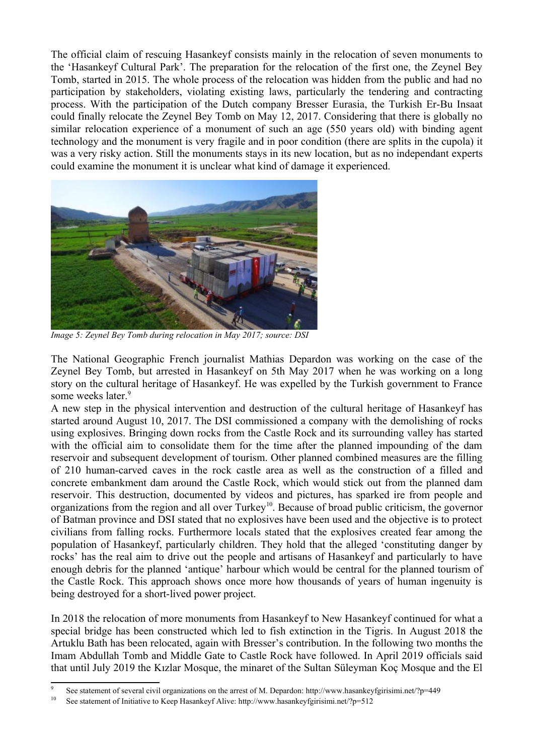The official claim of rescuing Hasankeyf consists mainly in the relocation of seven monuments to the 'Hasankeyf Cultural Park'. The preparation for the relocation of the first one, the Zeynel Bey Tomb, started in 2015. The whole process of the relocation was hidden from the public and had no participation by stakeholders, violating existing laws, particularly the tendering and contracting process. With the participation of the Dutch company Bresser Eurasia, the Turkish Er-Bu Insaat could finally relocate the Zeynel Bey Tomb on May 12, 2017. Considering that there is globally no similar relocation experience of a monument of such an age (550 years old) with binding agent technology and the monument is very fragile and in poor condition (there are splits in the cupola) it was a very risky action. Still the monuments stays in its new location, but as no independant experts could examine the monument it is unclear what kind of damage it experienced.



*Image 5: Zeynel Bey Tomb during relocation in May 2017; source: DSI*

The National Geographic French journalist Mathias Depardon was working on the case of the Zeynel Bey Tomb, but arrested in Hasankeyf on 5th May 2017 when he was working on a long story on the cultural heritage of Hasankeyf. He was expelled by the Turkish government to France some weeks later.<sup>[9](#page-5-0)</sup>

A new step in the physical intervention and destruction of the cultural heritage of Hasankeyf has started around August 10, 2017. The DSI commissioned a company with the demolishing of rocks using explosives. Bringing down rocks from the Castle Rock and its surrounding valley has started with the official aim to consolidate them for the time after the planned impounding of the dam reservoir and subsequent development of tourism. Other planned combined measures are the filling of 210 human-carved caves in the rock castle area as well as the construction of a filled and concrete embankment dam around the Castle Rock, which would stick out from the planned dam reservoir. This destruction, documented by videos and pictures, has sparked ire from people and organizations from the region and all over Turkey<sup>[10](#page-5-1)</sup>. Because of broad public criticism, the governor of Batman province and DSI stated that no explosives have been used and the objective is to protect civilians from falling rocks. Furthermore locals stated that the explosives created fear among the population of Hasankeyf, particularly children. They hold that the alleged 'constituting danger by rocks' has the real aim to drive out the people and artisans of Hasankeyf and particularly to have enough debris for the planned 'antique' harbour which would be central for the planned tourism of the Castle Rock. This approach shows once more how thousands of years of human ingenuity is being destroyed for a short-lived power project.

In 2018 the relocation of more monuments from Hasankeyf to New Hasankeyf continued for what a special bridge has been constructed which led to fish extinction in the Tigris. In August 2018 the Artuklu Bath has been relocated, again with Bresser's contribution. In the following two months the Imam Abdullah Tomb and Middle Gate to Castle Rock have followed. In April 2019 officials said that until July 2019 the Kızlar Mosque, the minaret of the Sultan Süleyman Koç Mosque and the El

<span id="page-5-0"></span><sup>9</sup> See statement of several civil organizations on the arrest of M. Depardon: http://www.hasankeyfgirisimi.net/?p=449

<span id="page-5-1"></span><sup>&</sup>lt;sup>10</sup> See statement of Initiative to Keep Hasankeyf Alive: http://www.hasankeyfgirisimi.net/?p=512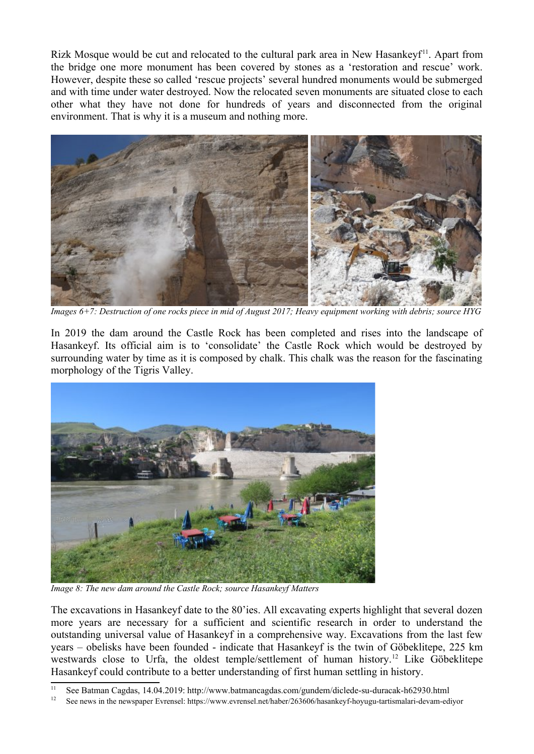Rizk Mosque would be cut and relocated to the cultural park area in New Hasankey $f<sup>11</sup>$  $f<sup>11</sup>$  $f<sup>11</sup>$ . Apart from the bridge one more monument has been covered by stones as a 'restoration and rescue' work. However, despite these so called 'rescue projects' several hundred monuments would be submerged and with time under water destroyed. Now the relocated seven monuments are situated close to each other what they have not done for hundreds of years and disconnected from the original environment. That is why it is a museum and nothing more.



*Images 6+7: Destruction of one rocks piece in mid of August 2017; Heavy equipment working with debris; source HYG*

In 2019 the dam around the Castle Rock has been completed and rises into the landscape of Hasankeyf. Its official aim is to 'consolidate' the Castle Rock which would be destroyed by surrounding water by time as it is composed by chalk. This chalk was the reason for the fascinating morphology of the Tigris Valley.



*Image 8: The new dam around the Castle Rock; source Hasankeyf Matters*

The excavations in Hasankeyf date to the 80'ies. All excavating experts highlight that several dozen more years are necessary for a sufficient and scientific research in order to understand the outstanding universal value of Hasankeyf in a comprehensive way. Excavations from the last few years – obelisks have been founded - indicate that Hasankeyf is the twin of Göbeklitepe, 225 km westwards close to Urfa, the oldest temple/settlement of human history.[12](#page-6-1) Like Göbeklitepe Hasankeyf could contribute to a better understanding of first human settling in history.

<span id="page-6-0"></span><sup>&</sup>lt;sup>11</sup> See Batman Cagdas, 14.04.2019: http://www.batmancagdas.com/gundem/diclede-su-duracak-h62930.html<br><sup>12</sup> See navy in the navy none Expensel https://www.ayroneal.net/heber/262606/heegelevis hervou testimologi dayon ed

<span id="page-6-1"></span><sup>12</sup> See news in the newspaper Evrensel: https://www.evrensel.net/haber/263606/hasankeyf-hoyugu-tartismalari-devam-ediyor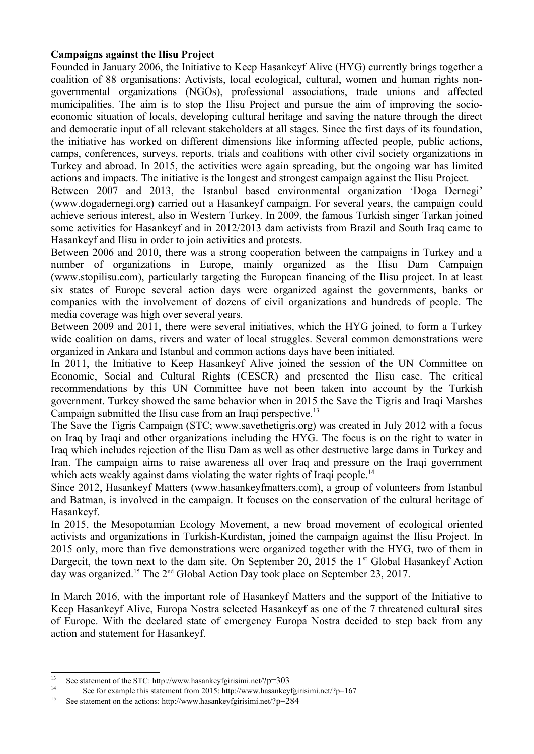# **Campaigns against the Ilisu Project**

Founded in January 2006, the Initiative to Keep Hasankeyf Alive (HYG) currently brings together a coalition of 88 organisations: Activists, local ecological, cultural, women and human rights nongovernmental organizations (NGOs), professional associations, trade unions and affected municipalities. The aim is to stop the Ilisu Project and pursue the aim of improving the socioeconomic situation of locals, developing cultural heritage and saving the nature through the direct and democratic input of all relevant stakeholders at all stages. Since the first days of its foundation, the initiative has worked on different dimensions like informing affected people, public actions, camps, conferences, surveys, reports, trials and coalitions with other civil society organizations in Turkey and abroad. In 2015, the activities were again spreading, but the ongoing war has limited actions and impacts. The initiative is the longest and strongest campaign against the Ilisu Project.

Between 2007 and 2013, the Istanbul based environmental organization 'Doga Dernegi' (www.dogadernegi.org) carried out a Hasankeyf campaign. For several years, the campaign could achieve serious interest, also in Western Turkey. In 2009, the famous Turkish singer Tarkan joined some activities for Hasankeyf and in 2012/2013 dam activists from Brazil and South Iraq came to Hasankeyf and Ilisu in order to join activities and protests.

Between 2006 and 2010, there was a strong cooperation between the campaigns in Turkey and a number of organizations in Europe, mainly organized as the Ilisu Dam Campaign (www.stopilisu.com), particularly targeting the European financing of the Ilisu project. In at least six states of Europe several action days were organized against the governments, banks or companies with the involvement of dozens of civil organizations and hundreds of people. The media coverage was high over several years.

Between 2009 and 2011, there were several initiatives, which the HYG joined, to form a Turkey wide coalition on dams, rivers and water of local struggles. Several common demonstrations were organized in Ankara and Istanbul and common actions days have been initiated.

In 2011, the Initiative to Keep Hasankeyf Alive joined the session of the UN Committee on Economic, Social and Cultural Rights (CESCR) and presented the Ilisu case. The critical recommendations by this UN Committee have not been taken into account by the Turkish government. Turkey showed the same behavior when in 2015 the Save the Tigris and Iraqi Marshes Campaign submitted the Ilisu case from an Iraqi perspective.<sup>[13](#page-7-0)</sup>

The Save the Tigris Campaign (STC; www.savethetigris.org) was created in July 2012 with a focus on Iraq by Iraqi and other organizations including the HYG. The focus is on the right to water in Iraq which includes rejection of the Ilisu Dam as well as other destructive large dams in Turkey and Iran. The campaign aims to raise awareness all over Iraq and pressure on the Iraqi government which acts weakly against dams violating the water rights of Iraqi people.<sup>[14](#page-7-1)</sup>

Since 2012, Hasankeyf Matters (www.hasankeyfmatters.com), a group of volunteers from Istanbul and Batman, is involved in the campaign. It focuses on the conservation of the cultural heritage of Hasankeyf.

In 2015, the Mesopotamian Ecology Movement, a new broad movement of ecological oriented activists and organizations in Turkish-Kurdistan, joined the campaign against the Ilisu Project. In 2015 only, more than five demonstrations were organized together with the HYG, two of them in Dargecit, the town next to the dam site. On September 20, 2015 the  $1<sup>st</sup>$  Global Hasankeyf Action day was organized.<sup>[15](#page-7-2)</sup> The 2<sup>nd</sup> Global Action Day took place on September 23, 2017.

In March 2016, with the important role of Hasankeyf Matters and the support of the Initiative to Keep Hasankeyf Alive, Europa Nostra selected Hasankeyf as one of the 7 threatened cultural sites of Europe. With the declared state of emergency Europa Nostra decided to step back from any action and statement for Hasankeyf.

<span id="page-7-0"></span><sup>&</sup>lt;sup>13</sup> See statement of the STC: http://www.hasankeyfgirisimi.net/?p=303<br><sup>14</sup> See for example this statement from 2015; http://www.hasankey

<span id="page-7-1"></span><sup>&</sup>lt;sup>14</sup> See for example this statement from 2015: http://www.hasankeyfgirisimi.net/?p=167<br><sup>15</sup> See statement on the estimal http://www.hasankeyfgirisimi.net/?n=284

<span id="page-7-2"></span><sup>15</sup> See statement on the actions: http://www.hasankeyfgirisimi.net/?p=284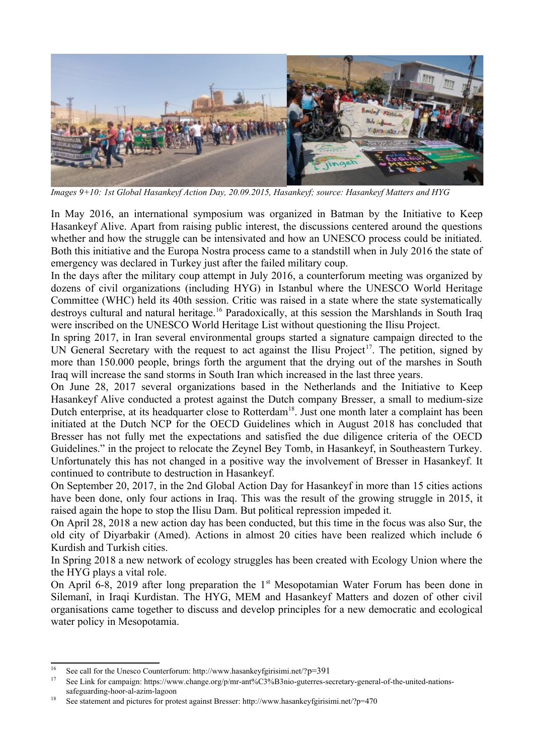

*Images 9+10: 1st Global Hasankeyf Action Day, 20.09.2015, Hasankeyf; source: Hasankeyf Matters and HYG*

In May 2016, an international symposium was organized in Batman by the Initiative to Keep Hasankeyf Alive. Apart from raising public interest, the discussions centered around the questions whether and how the struggle can be intensivated and how an UNESCO process could be initiated. Both this initiative and the Europa Nostra process came to a standstill when in July 2016 the state of emergency was declared in Turkey just after the failed military coup.

In the days after the military coup attempt in July 2016, a counterforum meeting was organized by dozens of civil organizations (including HYG) in Istanbul where the UNESCO World Heritage Committee (WHC) held its 40th session. Critic was raised in a state where the state systematically destroys cultural and natural heritage.<sup>[16](#page-8-0)</sup> Paradoxically, at this session the Marshlands in South Iraq were inscribed on the UNESCO World Heritage List without questioning the Ilisu Project.

In spring 2017, in Iran several environmental groups started a signature campaign directed to the UN General Secretary with the request to act against the Ilisu Project<sup>[17](#page-8-1)</sup>. The petition, signed by more than 150.000 people, brings forth the argument that the drying out of the marshes in South Iraq will increase the sand storms in South Iran which increased in the last three years.

On June 28, 2017 several organizations based in the Netherlands and the Initiative to Keep Hasankeyf Alive conducted a protest against the Dutch company Bresser, a small to medium-size Dutch enterprise, at its headquarter close to Rotterdam<sup>[18](#page-8-2)</sup>. Just one month later a complaint has been initiated at the Dutch NCP for the OECD Guidelines which in August 2018 has concluded that Bresser has not fully met the expectations and satisfied the due diligence criteria of the OECD Guidelines." in the project to relocate the Zeynel Bey Tomb, in Hasankeyf, in Southeastern Turkey. Unfortunately this has not changed in a positive way the involvement of Bresser in Hasankeyf. It continued to contribute to destruction in Hasankeyf.

On September 20, 2017, in the 2nd Global Action Day for Hasankeyf in more than 15 cities actions have been done, only four actions in Iraq. This was the result of the growing struggle in 2015, it raised again the hope to stop the Ilisu Dam. But political repression impeded it.

On April 28, 2018 a new action day has been conducted, but this time in the focus was also Sur, the old city of Diyarbakir (Amed). Actions in almost 20 cities have been realized which include 6 Kurdish and Turkish cities.

In Spring 2018 a new network of ecology struggles has been created with Ecology Union where the the HYG plays a vital role.

On April 6-8, 2019 after long preparation the 1<sup>st</sup> Mesopotamian Water Forum has been done in Silemanî, in Iraqi Kurdistan. The HYG, MEM and Hasankeyf Matters and dozen of other civil organisations came together to discuss and develop principles for a new democratic and ecological water policy in Mesopotamia.

<span id="page-8-0"></span><sup>&</sup>lt;sup>16</sup> See call for the Unesco Counterforum: http://www.hasankeyfgirisimi.net/?p=391<br><sup>17</sup> See Link for composition, https://www.change.org/p/prn.art//C22/D2nie outcomes.com

<span id="page-8-1"></span>See Link for campaign: https://www.change.org/p/mr-ant%C3%B3nio-guterres-secretary-general-of-the-united-nationssafeguarding-hoor-al-azim-lagoon

<span id="page-8-2"></span><sup>&</sup>lt;sup>18</sup> See statement and pictures for protest against Bresser: http://www.hasankeyfgirisimi.net/?p=470